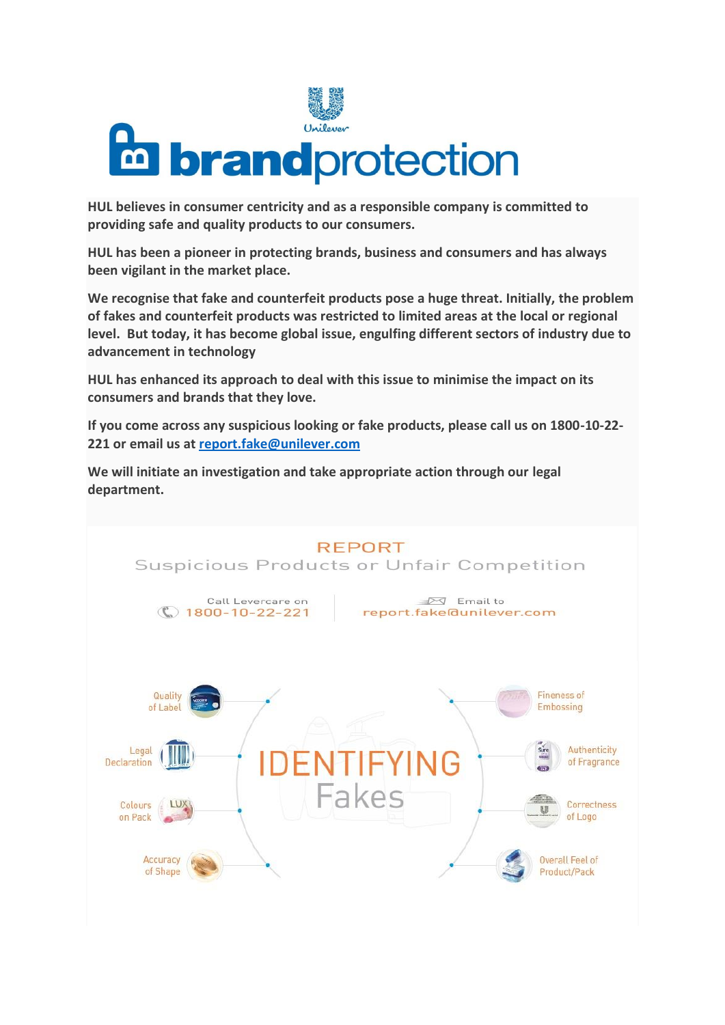

**HUL believes in consumer centricity and as a responsible company is committed to providing safe and quality products to our consumers.** 

**HUL has been a pioneer in protecting brands, business and consumers and has always been vigilant in the market place.** 

**We recognise that fake and counterfeit products pose a huge threat. Initially, the problem of fakes and counterfeit products was restricted to limited areas at the local or regional level. But today, it has become global issue, engulfing different sectors of industry due to advancement in technology** 

**HUL has enhanced its approach to deal with this issue to minimise the impact on its consumers and brands that they love.** 

**If you come across any suspicious looking or fake products, please call us on 1800-10-22- 221 or email us at [report.fake@unilever.com](mailto:report.fake@unilever.com)**

**We will initiate an investigation and take appropriate action through our legal department.**